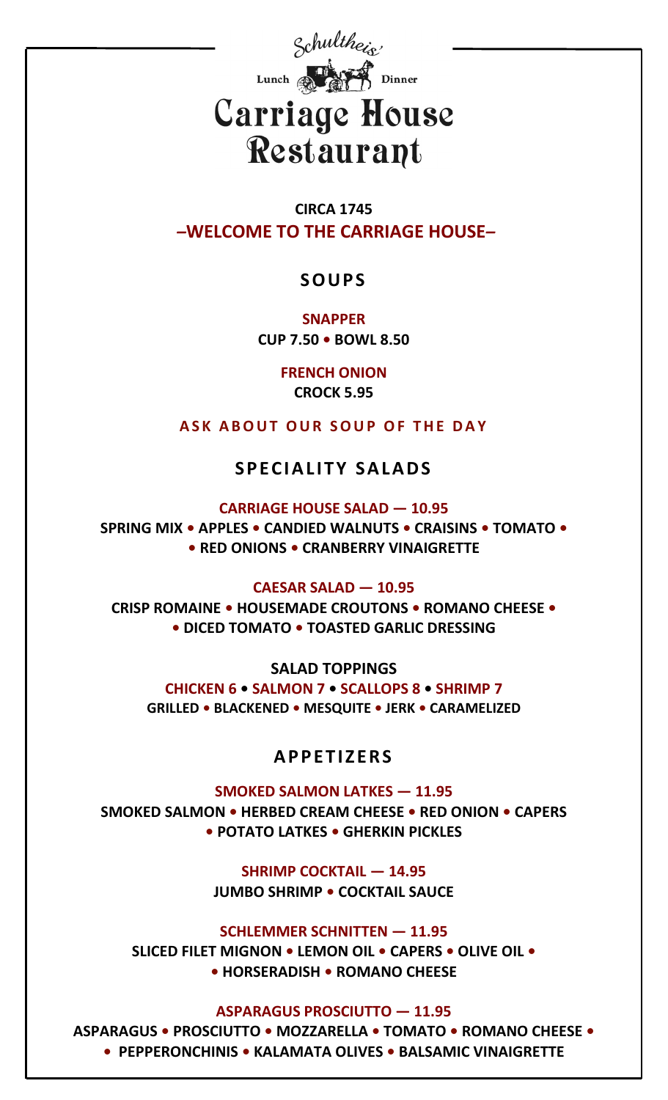

**CIRCA 1745** *–***WELCOME TO THE CARRIAGE HOUSE***–*

### **SOUPS**

**SNAPPER CUP 7.50 • BOWL 8.50**

> **FRENCH ONION CROCK 5.95**

**ASK ABOUT OUR SOUP OF THE DAY**

### **SPECIALITY SALADS**

#### **CARRIAGE HOUSE SALAD — 10.95**

**SPRING MIX • APPLES • CANDIED WALNUTS • CRAISINS • TOMATO • • RED ONIONS • CRANBERRY VINAIGRETTE**

#### **CAESAR SALAD — 10.95**

**CRISP ROMAINE • HOUSEMADE CROUTONS • ROMANO CHEESE • • DICED TOMATO • TOASTED GARLIC DRESSING**

**SALAD TOPPINGS CHICKEN 6 • SALMON 7 • SCALLOPS 8 • SHRIMP 7 GRILLED • BLACKENED • MESQUITE • JERK • CARAMELIZED** 

### **APPETIZERS**

**SMOKED SALMON LATKES — 11.95 SMOKED SALMON • HERBED CREAM CHEESE • RED ONION • CAPERS • POTATO LATKES • GHERKIN PICKLES**

> **SHRIMP COCKTAIL — 14.95 JUMBO SHRIMP • COCKTAIL SAUCE**

> **SCHLEMMER SCHNITTEN — 11.95**

**SLICED FILET MIGNON • LEMON OIL • CAPERS • OLIVE OIL • • HORSERADISH • ROMANO CHEESE**

**ASPARAGUS PROSCIUTTO — 11.95**

**ASPARAGUS • PROSCIUTTO • MOZZARELLA • TOMATO • ROMANO CHEESE • • PEPPERONCHINIS • KALAMATA OLIVES • BALSAMIC VINAIGRETTE**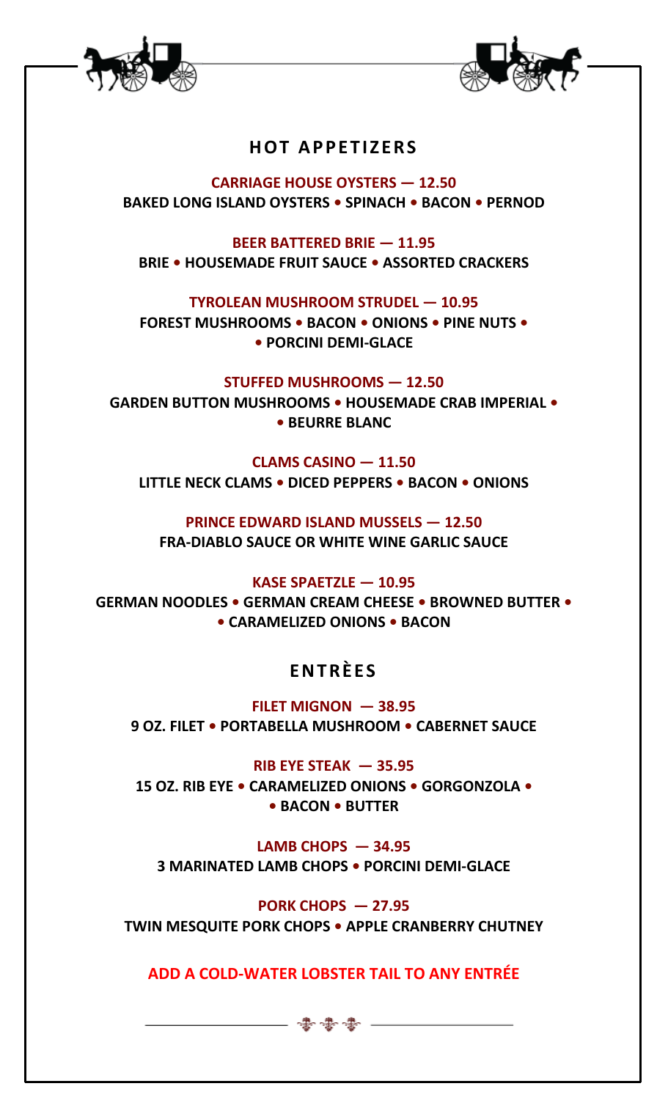



## **HOT APPETIZERS**

**CARRIAGE HOUSE OYSTERS — 12.50 BAKED LONG ISLAND OYSTERS • SPINACH • BACON • PERNOD** 

**BEER BATTERED BRIE — 11.95 BRIE • HOUSEMADE FRUIT SAUCE • ASSORTED CRACKERS** 

**TYROLEAN MUSHROOM STRUDEL — 10.95**

**FOREST MUSHROOMS • BACON • ONIONS • PINE NUTS • • PORCINI DEMI-GLACE**

### **STUFFED MUSHROOMS — 12.50**

**GARDEN BUTTON MUSHROOMS • HOUSEMADE CRAB IMPERIAL • • BEURRE BLANC**

**CLAMS CASINO — 11.50 LITTLE NECK CLAMS • DICED PEPPERS • BACON • ONIONS**

**PRINCE EDWARD ISLAND MUSSELS — 12.50 FRA-DIABLO SAUCE OR WHITE WINE GARLIC SAUCE** 

**KASE SPAETZLE — 10.95 GERMAN NOODLES • GERMAN CREAM CHEESE • BROWNED BUTTER • • CARAMELIZED ONIONS • BACON**

# **ENTRÈES**

**FILET MIGNON — 38.95 9 OZ. FILET • PORTABELLA MUSHROOM • CABERNET SAUCE**

**RIB EYE STEAK — 35.95 15 OZ. RIB EYE • CARAMELIZED ONIONS • GORGONZOLA • • BACON • BUTTER**

**LAMB CHOPS — 34.95 3 MARINATED LAMB CHOPS • PORCINI DEMI-GLACE**

**PORK CHOPS — 27.95 TWIN MESQUITE PORK CHOPS • APPLE CRANBERRY CHUTNEY**

**ADD A COLD-WATER LOBSTER TAIL TO ANY ENTRÉE**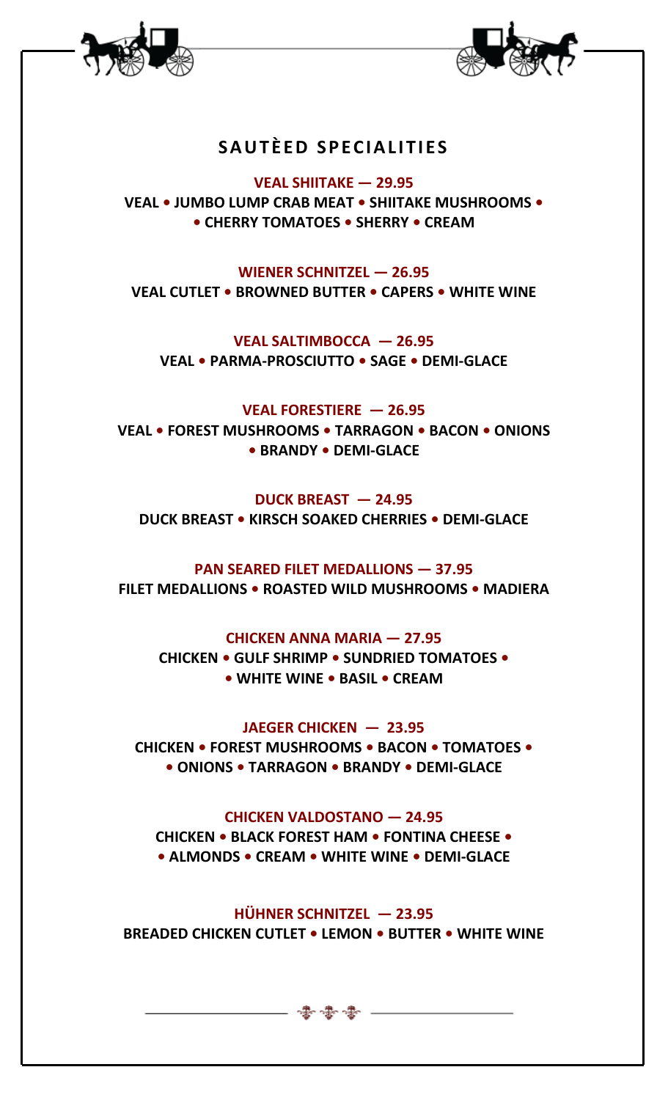



## **SA UTÈED SPECIALITIES**

#### **VEAL SHIITAKE — 29.95**

**VEAL • JUMBO LUMP CRAB MEAT • SHIITAKE MUSHROOMS • • CHERRY TOMATOES • SHERRY • CREAM** 

#### **WIENER SCHNITZEL — 26.95**

**VEAL CUTLET • BROWNED BUTTER • CAPERS • WHITE WINE**

**VEAL SALTIMBOCCA — 26.95 VEAL • PARMA-PROSCIUTTO • SAGE • DEMI-GLACE**

#### **VEAL FORESTIERE — 26.95**

**VEAL • FOREST MUSHROOMS • TARRAGON • BACON • ONIONS • BRANDY • DEMI-GLACE**

**DUCK BREAST — 24.95 DUCK BREAST • KIRSCH SOAKED CHERRIES • DEMI-GLACE**

**PAN SEARED FILET MEDALLIONS — 37.95 FILET MEDALLIONS • ROASTED WILD MUSHROOMS • MADIERA** 

#### **CHICKEN ANNA MARIA — 27.95**

**CHICKEN • GULF SHRIMP • SUNDRIED TOMATOES • • WHITE WINE • BASIL • CREAM** 

**JAEGER CHICKEN — 23.95**

**CHICKEN • FOREST MUSHROOMS • BACON • TOMATOES • • ONIONS • TARRAGON • BRANDY • DEMI-GLACE**

#### **CHICKEN VALDOSTANO — 24.95**

**CHICKEN • BLACK FOREST HAM • FONTINA CHEESE • • ALMONDS • CREAM • WHITE WINE • DEMI-GLACE**

**HÜHNER SCHNITZEL — 23.95**

**BREADED CHICKEN CUTLET • LEMON • BUTTER • WHITE WINE**

\*\*\*\*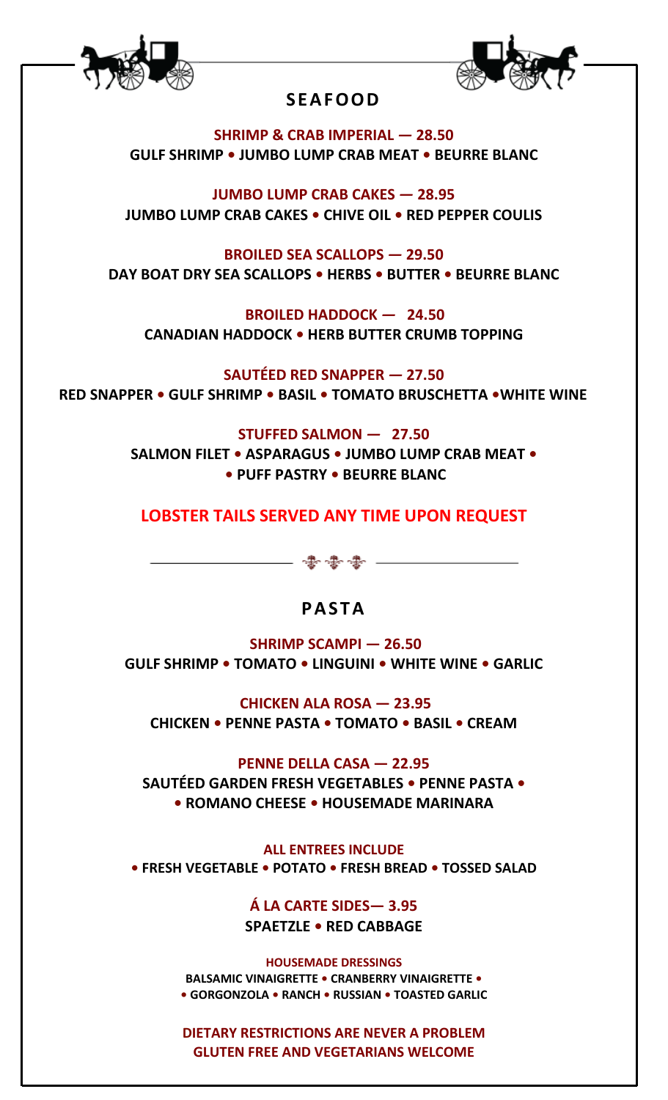



# **SEAFOOD**

**SHRIMP & CRAB IMPERIAL** *—* **28.50 GULF SHRIMP • JUMBO LUMP CRAB MEAT • BEURRE BLANC**

**JUMBO LUMP CRAB CAKES** *—* **28.95 JUMBO LUMP CRAB CAKES • CHIVE OIL • RED PEPPER COULIS**

**BROILED SEA SCALLOPS** *—* **29.50 DAY BOAT DRY SEA SCALLOPS • HERBS • BUTTER • BEURRE BLANC**

 **BROILED HADDOCK** *—* **24.50 CANADIAN HADDOCK • HERB BUTTER CRUMB TOPPING**

**SAUTÉED RED SNAPPER** *—* **27.50 RED SNAPPER • GULF SHRIMP • BASIL • TOMATO BRUSCHETTA •WHITE WINE**

**STUFFED SALMON** *—* **27.50**

**SALMON FILET • ASPARAGUS • JUMBO LUMP CRAB MEAT • • PUFF PASTRY • BEURRE BLANC**

**LOBSTER TAILS SERVED ANY TIME UPON REQUEST**

- 380 380 380 -

## **PASTA**

**SHRIMP SCAMPI — 26.50 GULF SHRIMP • TOMATO • LINGUINI • WHITE WINE • GARLIC** 

**CHICKEN ALA ROSA — 23.95 CHICKEN • PENNE PASTA • TOMATO • BASIL • CREAM** 

**PENNE DELLA CASA — 22.95 SAUTÉED GARDEN FRESH VEGETABLES • PENNE PASTA • • ROMANO CHEESE • HOUSEMADE MARINARA**

**ALL ENTREES INCLUDE • FRESH VEGETABLE • POTATO • FRESH BREAD • TOSSED SALAD**

> **Á LA CARTE SIDES— 3.95 SPAETZLE • RED CABBAGE**

**HOUSEMADE DRESSINGS**

**BALSAMIC VINAIGRETTE • CRANBERRY VINAIGRETTE • • GORGONZOLA • RANCH • RUSSIAN • TOASTED GARLIC**

**DIETARY RESTRICTIONS ARE NEVER A PROBLEM GLUTEN FREE AND VEGETARIANS WELCOME**